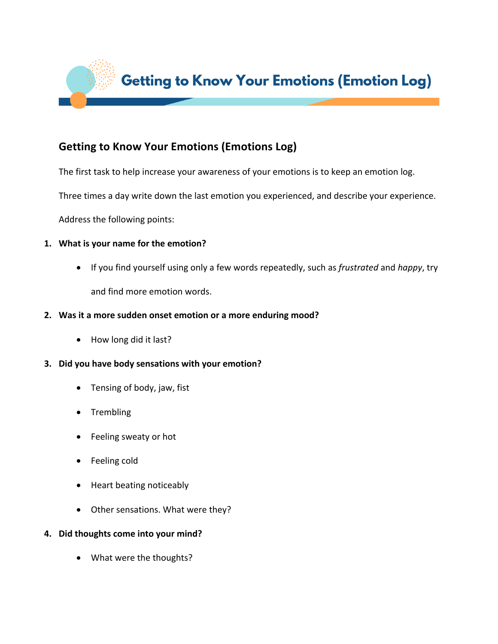

# **Getting to Know Your Emotions (Emotions Log)**

The first task to help increase your awareness of your emotions is to keep an emotion log.

Three times a day write down the last emotion you experienced, and describe your experience.

Address the following points:

#### **1.** What is your name for the emotion?

• If you find yourself using only a few words repeatedly, such as *frustrated* and *happy*, try and find more emotion words.

#### 2. Was it a more sudden onset emotion or a more enduring mood?

- How long did it last?
- **3.** Did you have body sensations with your emotion?
	- Tensing of body, jaw, fist
	- Trembling
	- Feeling sweaty or hot
	- Feeling cold
	- Heart beating noticeably
	- Other sensations. What were they?

#### **4.** Did thoughts come into your mind?

• What were the thoughts?